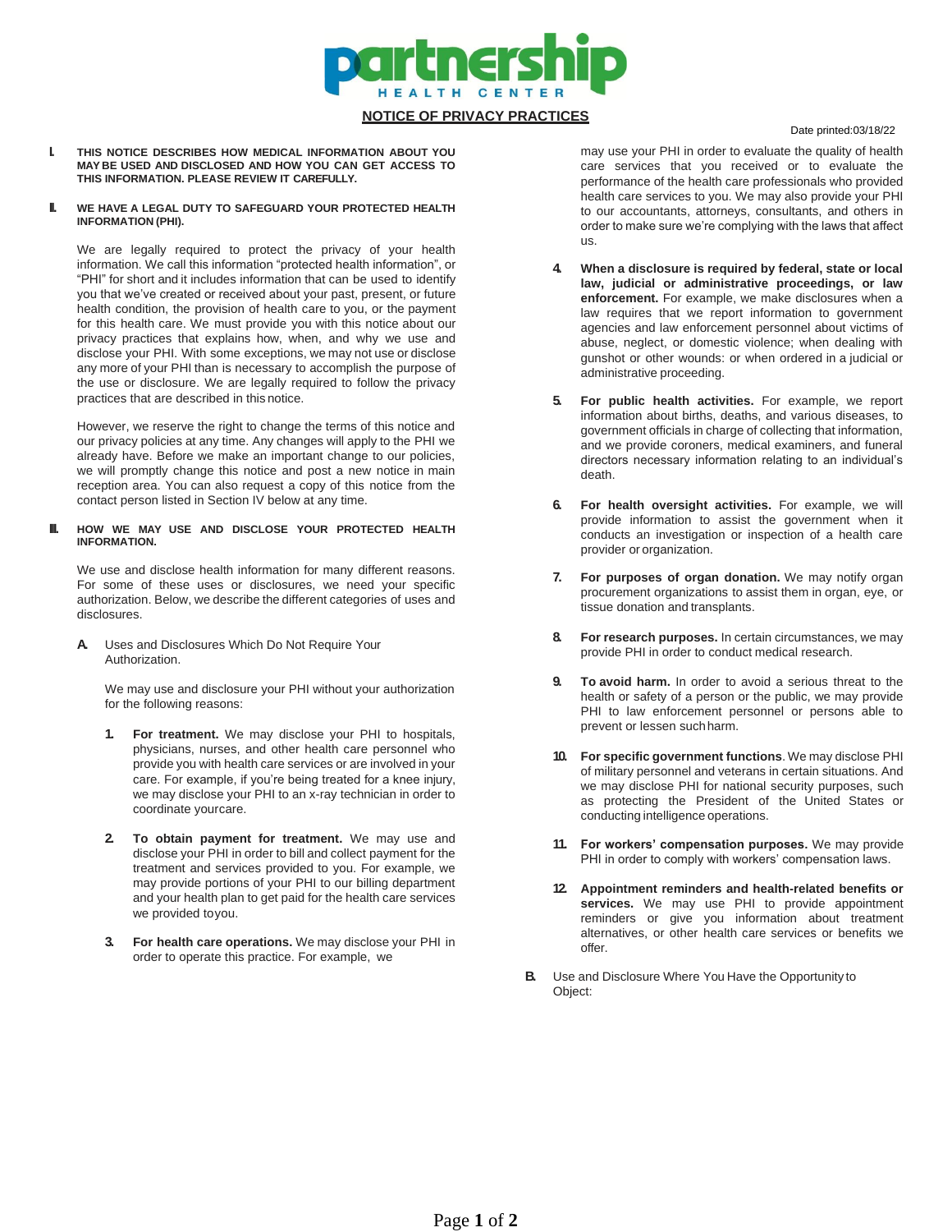

# **NOTICE OF PRIVACY PRACTICES**

### Date printed:03/18/22

**I. THIS NOTICE DESCRIBES HOW MEDICAL INFORMATION ABOUT YOU MAY BE USED AND DISCLOSED AND HOW YOU CAN GET ACCESS TO THIS INFORMATION. PLEASE REVIEW IT CAREFULLY.**

### **II. WE HAVE A LEGAL DUTY TO SAFEGUARD YOUR PROTECTED HEALTH INFORMATION (PHI).**

We are legally required to protect the privacy of your health information. We call this information "protected health information", or "PHI" for short and it includes information that can be used to identify you that we've created or received about your past, present, or future health condition, the provision of health care to you, or the payment for this health care. We must provide you with this notice about our privacy practices that explains how, when, and why we use and disclose your PHI. With some exceptions, we may not use or disclose any more of your PHI than is necessary to accomplish the purpose of the use or disclosure. We are legally required to follow the privacy practices that are described in this notice.

However, we reserve the right to change the terms of this notice and our privacy policies at any time. Any changes will apply to the PHI we already have. Before we make an important change to our policies, we will promptly change this notice and post a new notice in main reception area. You can also request a copy of this notice from the contact person listed in Section IV below at any time.

### **III. HOW WE MAY USE AND DISCLOSE YOUR PROTECTED HEALTH INFORMATION.**

We use and disclose health information for many different reasons. For some of these uses or disclosures, we need your specific authorization. Below, we describe the different categories of uses and disclosures.

**A.** Uses and Disclosures Which Do Not Require Your Authorization.

We may use and disclosure your PHI without your authorization for the following reasons:

- **1. For treatment.** We may disclose your PHI to hospitals, physicians, nurses, and other health care personnel who provide you with health care services or are involved in your care. For example, if you're being treated for a knee injury, we may disclose your PHI to an x-ray technician in order to coordinate yourcare.
- **2. To obtain payment for treatment.** We may use and disclose your PHI in order to bill and collect payment for the treatment and services provided to you. For example, we may provide portions of your PHI to our billing department and your health plan to get paid for the health care services we provided toyou.
- **3. For health care operations.** We may disclose your PHI in order to operate this practice. For example, we

may use your PHI in order to evaluate the quality of health care services that you received or to evaluate the performance of the health care professionals who provided health care services to you. We may also provide your PHI to our accountants, attorneys, consultants, and others in order to make sure we're complying with the laws that affect us.

- **4. When a disclosure is required by federal, state or local law, judicial or administrative proceedings, or law enforcement.** For example, we make disclosures when a law requires that we report information to government agencies and law enforcement personnel about victims of abuse, neglect, or domestic violence; when dealing with gunshot or other wounds: or when ordered in a judicial or administrative proceeding.
- **5. For public health activities.** For example, we report information about births, deaths, and various diseases, to government officials in charge of collecting that information, and we provide coroners, medical examiners, and funeral directors necessary information relating to an individual's death.
- **6. For health oversight activities.** For example, we will provide information to assist the government when it conducts an investigation or inspection of a health care provider or organization.
- **7. For purposes of organ donation.** We may notify organ procurement organizations to assist them in organ, eye, or tissue donation and transplants.
- **8. For research purposes.** In certain circumstances, we may provide PHI in order to conduct medical research.
- **9. To avoid harm.** In order to avoid a serious threat to the health or safety of a person or the public, we may provide PHI to law enforcement personnel or persons able to prevent or lessen suchharm.
- **10. For specific government functions**. We may disclose PHI of military personnel and veterans in certain situations. And we may disclose PHI for national security purposes, such as protecting the President of the United States or conducting intelligence operations.
- **11. For workers' compensation purposes.** We may provide PHI in order to comply with workers' compensation laws.
- **12. Appointment reminders and health-related benefits or services.** We may use PHI to provide appointment reminders or give you information about treatment alternatives, or other health care services or benefits we offer.
- **B.** Use and Disclosure Where You Have the Opportunity to Object: